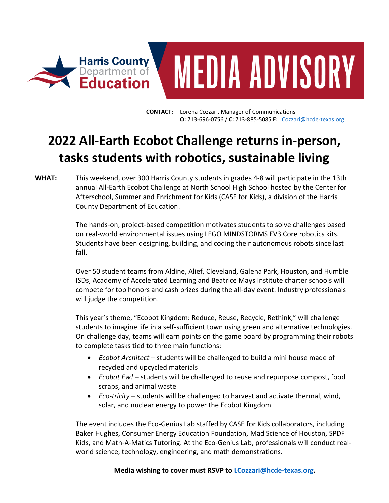



**CONTACT:** Lorena Cozzari, Manager of Communications **O:** 713-696-0756 / **C:** 713-885-5085 **E:** [LCozzari@hcde-texas.org](mailto:LCozzari@hcde-texas.org)

# **2022 All-Earth Ecobot Challenge returns in-person, tasks students with robotics, sustainable living**

## **WHAT:** This weekend, over 300 Harris County students in grades 4-8 will participate in the 13th annual All-Earth Ecobot Challenge at North School High School hosted by the Center for Afterschool, Summer and Enrichment for Kids (CASE for Kids), a division of the Harris County Department of Education.

The hands-on, project-based competition motivates students to solve challenges based on real-world environmental issues using LEGO MINDSTORMS EV3 Core robotics kits. Students have been designing, building, and coding their autonomous robots since last fall.

Over 50 student teams from Aldine, Alief, Cleveland, Galena Park, Houston, and Humble ISDs, Academy of Accelerated Learning and Beatrice Mays Institute charter schools will compete for top honors and cash prizes during the all-day event. Industry professionals will judge the competition.

This year's theme, "Ecobot Kingdom: Reduce, Reuse, Recycle, Rethink," will challenge students to imagine life in a self-sufficient town using green and alternative technologies. On challenge day, teams will earn points on the game board by programming their robots to complete tasks tied to three main functions:

- *Ecobot Architect* students will be challenged to build a mini house made of recycled and upcycled materials
- *Ecobot Ew!* students will be challenged to reuse and repurpose compost, food scraps, and animal waste
- *Eco-tricity* students will be challenged to harvest and activate thermal, wind, solar, and nuclear energy to power the Ecobot Kingdom

The event includes the Eco-Genius Lab staffed by CASE for Kids collaborators, including Baker Hughes, Consumer Energy Education Foundation, Mad Science of Houston, SPDF Kids, and Math-A-Matics Tutoring. At the Eco-Genius Lab, professionals will conduct realworld science, technology, engineering, and math demonstrations.